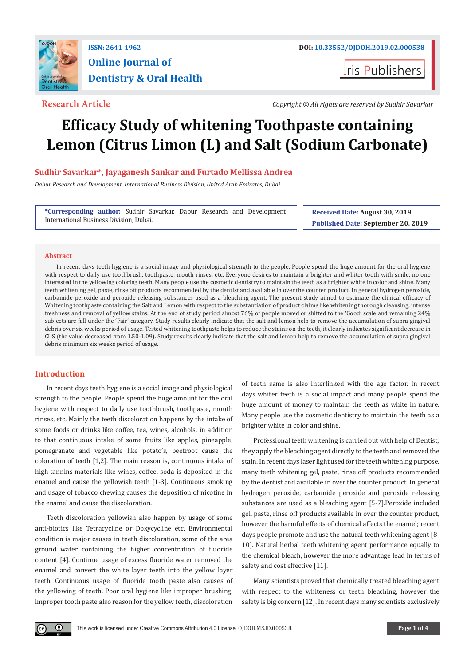

# **Online Journal of Dentistry & Oral Health**

**I**ris Publishers

**Research Article** *Copyright © All rights are reserved by Sudhir Savarkar*

# **Efficacy Study of whitening Toothpaste containing Lemon (Citrus Limon (L) and Salt (Sodium Carbonate)**

# **Sudhir Savarkar\*, Jayaganesh Sankar and Furtado Mellissa Andrea**

*Dabur Research and Development, International Business Division, United Arab Emirates, Dubai*

**\*Corresponding author:** Sudhir Savarkar, Dabur Research and Development, International Business Division, Dubai.

**Received Date: August 30, 2019 Published Date: September 20, 2019**

# **Abstract**

In recent days teeth hygiene is a social image and physiological strength to the people. People spend the huge amount for the oral hygiene with respect to daily use toothbrush, toothpaste, mouth rinses, etc. Everyone desires to maintain a brighter and whiter tooth with smile, no one interested in the yellowing coloring teeth. Many people use the cosmetic dentistry to maintain the teeth as a brighter white in color and shine. Many teeth whitening gel, paste, rinse off products recommended by the dentist and available in over the counter product. In general hydrogen peroxide, carbamide peroxide and peroxide releasing substances used as a bleaching agent. The present study aimed to estimate the clinical efficacy of Whitening toothpaste containing the Salt and Lemon with respect to the substantiation of product claims like whitening thorough cleansing, intense freshness and removal of yellow stains. At the end of study period almost 76% of people moved or shifted to the 'Good' scale and remaining 24% subjects are fall under the 'Fair' category. Study results clearly indicate that the salt and lemon help to remove the accumulation of supra gingival debris over six weeks period of usage. Tested whitening toothpaste helps to reduce the stains on the teeth, it clearly indicates significant decrease in CI-S (the value decreased from 1.50-1.09). Study results clearly indicate that the salt and lemon help to remove the accumulation of supra gingival debris minimum six weeks period of usage.

# **Introduction**

 $\bf o$ 

In recent days teeth hygiene is a social image and physiological strength to the people. People spend the huge amount for the oral hygiene with respect to daily use toothbrush, toothpaste, mouth rinses, etc. Mainly the teeth discoloration happens by the intake of some foods or drinks like coffee, tea, wines, alcohols, in addition to that continuous intake of some fruits like apples, pineapple, pomegranate and vegetable like potato's, beetroot cause the coloration of teeth [1,2]. The main reason is, continuous intake of high tannins materials like wines, coffee, soda is deposited in the enamel and cause the yellowish teeth [1-3]. Continuous smoking and usage of tobacco chewing causes the deposition of nicotine in the enamel and cause the discoloration.

Teeth discoloration yellowish also happen by usage of some anti-biotics like Tetracycline or Doxycycline etc. Environmental condition is major causes in teeth discoloration, some of the area ground water containing the higher concentration of fluoride content [4]. Continue usage of excess fluoride water removed the enamel and convert the white layer teeth into the yellow layer teeth. Continuous usage of fluoride tooth paste also causes of the yellowing of teeth. Poor oral hygiene like improper brushing, improper tooth paste also reason for the yellow teeth, discoloration

of teeth same is also interlinked with the age factor. In recent days whiter teeth is a social impact and many people spend the huge amount of money to maintain the teeth as white in nature. Many people use the cosmetic dentistry to maintain the teeth as a brighter white in color and shine.

Professional teeth whitening is carried out with help of Dentist; they apply the bleaching agent directly to the teeth and removed the stain. In recent days laser light used for the teeth whitening purpose, many teeth whitening gel, paste, rinse off products recommended by the dentist and available in over the counter product. In general hydrogen peroxide, carbamide peroxide and peroxide releasing substances are used as a bleaching agent [5-7].Peroxide included gel, paste, rinse off products available in over the counter product, however the harmful effects of chemical affects the enamel; recent days people promote and use the natural teeth whitening agent [8- 10]. Natural herbal teeth whitening agent performance equally to the chemical bleach, however the more advantage lead in terms of safety and cost effective [11].

Many scientists proved that chemically treated bleaching agent with respect to the whiteness or teeth bleaching, however the safety is big concern [12]. In recent days many scientists exclusively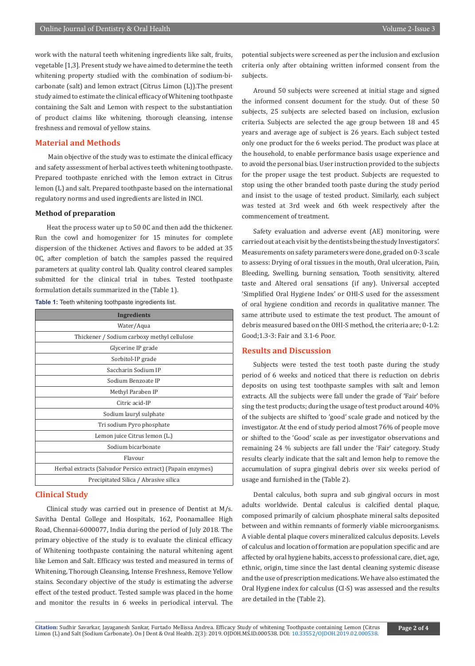work with the natural teeth whitening ingredients like salt, fruits, vegetable [1,3]. Present study we have aimed to determine the teeth whitening property studied with the combination of sodium-bicarbonate (salt) and lemon extract (Citrus Limon (L)).The present study aimed to estimate the clinical efficacy of Whitening toothpaste containing the Salt and Lemon with respect to the substantiation of product claims like whitening, thorough cleansing, intense freshness and removal of yellow stains.

# **Material and Methods**

 Main objective of the study was to estimate the clinical efficacy and safety assessment of herbal actives teeth whitening toothpaste. Prepared toothpaste enriched with the lemon extract in Citrus lemon (L) and salt. Prepared toothpaste based on the international regulatory norms and used ingredients are listed in INCI.

# **Method of preparation**

Heat the process water up to 50 0C and then add the thickener. Run the cowl and homogenizer for 15 minutes for complete dispersion of the thickener. Actives and flavors to be added at 35 0C, after completion of batch the samples passed the required parameters at quality control lab. Quality control cleared samples submitted for the clinical trial in tubes. Tested toothpaste formulation details summarized in the (Table 1).

| <b>Ingredients</b>                                          |
|-------------------------------------------------------------|
| Water/Aqua                                                  |
| Thickener / Sodium carboxy methyl cellulose                 |
| Glycerine IP grade                                          |
| Sorbitol-IP grade                                           |
| Saccharin Sodium IP                                         |
| Sodium Benzoate IP                                          |
| Methyl Paraben IP                                           |
| Citric acid-IP                                              |
| Sodium lauryl sulphate                                      |
| Tri sodium Pyro phosphate                                   |
| Lemon juice Citrus lemon (L.)                               |
| Sodium bicarbonate                                          |
| Flavour                                                     |
| Herbal extracts (Salvador Persico extract) (Papain enzymes) |
| Precipitated Silica / Abrasive silica                       |

### **Table 1:** Teeth whitening toothpaste ingredients list.

# **Clinical Study**

Clinical study was carried out in presence of Dentist at M/s. Savitha Dental College and Hospitals, 162, Poonamallee High Road, Chennai-6000077, India during the period of July 2018. The primary objective of the study is to evaluate the clinical efficacy of Whitening toothpaste containing the natural whitening agent like Lemon and Salt. Efficacy was tested and measured in terms of Whitening, Thorough Cleansing, Intense Freshness, Remove Yellow stains. Secondary objective of the study is estimating the adverse effect of the tested product. Tested sample was placed in the home and monitor the results in 6 weeks in periodical interval. The

potential subjects were screened as per the inclusion and exclusion criteria only after obtaining written informed consent from the subjects.

Around 50 subjects were screened at initial stage and signed the informed consent document for the study. Out of these 50 subjects, 25 subjects are selected based on inclusion, exclusion criteria. Subjects are selected the age group between 18 and 45 years and average age of subject is 26 years. Each subject tested only one product for the 6 weeks period. The product was place at the household, to enable performance basis usage experience and to avoid the personal bias. User instruction provided to the subjects for the proper usage the test product. Subjects are requested to stop using the other branded tooth paste during the study period and insist to the usage of tested product. Similarly, each subject was tested at 3rd week and 6th week respectively after the commencement of treatment.

Safety evaluation and adverse event (AE) monitoring, were carried out at each visit by the dentists being the study Investigators'. Measurements on safety parameters were done, graded on 0-3 scale to assess: Drying of oral tissues in the mouth, Oral ulceration, Pain, Bleeding, Swelling, burning sensation, Tooth sensitivity, altered taste and Altered oral sensations (if any). Universal accepted 'Simplified Oral Hygiene Index' or OHI-S used for the assessment of oral hygiene condition and records in qualitative manner. The same attribute used to estimate the test product. The amount of debris measured based on the OHI-S method, the criteria are; 0-1.2: Good;1.3-3: Fair and 3.1-6 Poor.

# **Results and Discussion**

Subjects were tested the test tooth paste during the study period of 6 weeks and noticed that there is reduction on debris deposits on using test toothpaste samples with salt and lemon extracts. All the subjects were fall under the grade of 'Fair' before sing the test products; during the usage of test product around 40% of the subjects are shifted to 'good' scale grade and noticed by the investigator. At the end of study period almost 76% of people move or shifted to the 'Good' scale as per investigator observations and remaining 24 % subjects are fall under the 'Fair' category. Study results clearly indicate that the salt and lemon help to remove the accumulation of supra gingival debris over six weeks period of usage and furnished in the (Table 2).

Dental calculus, both supra and sub gingival occurs in most adults worldwide. Dental calculus is calcified dental plaque, composed primarily of calcium phosphate mineral salts deposited between and within remnants of formerly viable microorganisms. A viable dental plaque covers mineralized calculus deposits. Levels of calculus and location of formation are population specific and are affected by oral hygiene habits, access to professional care, diet, age, ethnic, origin, time since the last dental cleaning systemic disease and the use of prescription medications. We have also estimated the Oral Hygiene index for calculus (CI-S) was assessed and the results are detailed in the (Table 2).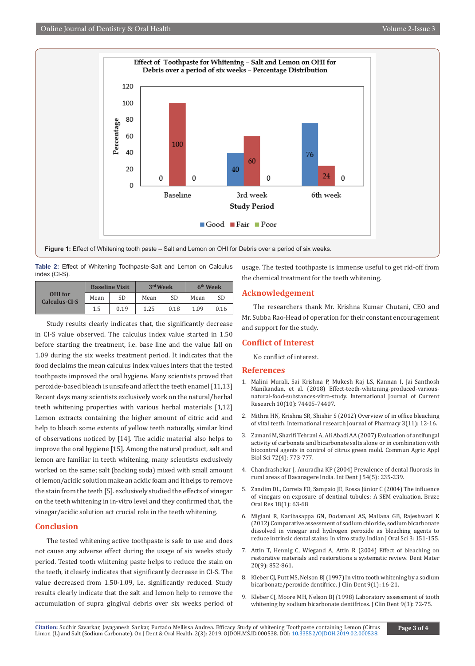

**Table 2:** Effect of Whitening Toothpaste-Salt and Lemon on Calculus index (CI-S).

|                          |      | <b>Baseline Visit</b> | 3rd Week |           | 6 <sup>th</sup> Week |      |
|--------------------------|------|-----------------------|----------|-----------|----------------------|------|
| OHI for<br>Calculus-CI-S | Mean | SD                    | Mean     | <b>SD</b> | Mean                 | SD   |
|                          | 1.5  | 0.19                  | 1.25     | 0.18      | 1.09                 | 0.16 |

Study results clearly indicates that, the significantly decrease in CI-S value observed. The calculus index value started in 1.50 before starting the treatment, i.e. base line and the value fall on 1.09 during the six weeks treatment period. It indicates that the food declaims the mean calculus index values inters that the tested toothpaste improved the oral hygiene. Many scientists proved that peroxide-based bleach is unsafe and affect the teeth enamel [11,13] Recent days many scientists exclusively work on the natural/herbal teeth whitening properties with various herbal materials [1,12] Lemon extracts containing the higher amount of citric acid and help to bleach some extents of yellow teeth naturally, similar kind of observations noticed by [14]. The acidic material also helps to improve the oral hygiene [15]. Among the natural product, salt and lemon are familiar in teeth whitening, many scientists exclusively worked on the same; salt (backing soda) mixed with small amount of lemon/acidic solution make an acidic foam and it helps to remove the stain from the teeth [5]. exclusively studied the effects of vinegar on the teeth whitening in in-vitro level and they confirmed that, the vinegar/acidic solution act crucial role in the teeth whitening.

# **Conclusion**

The tested whitening active toothpaste is safe to use and does not cause any adverse effect during the usage of six weeks study period. Tested tooth whitening paste helps to reduce the stain on the teeth, it clearly indicates that significantly decrease in CI-S. The value decreased from 1.50-1.09, i.e. significantly reduced. Study results clearly indicate that the salt and lemon help to remove the accumulation of supra gingival debris over six weeks period of usage. The tested toothpaste is immense useful to get rid-off from the chemical treatment for the teeth whitening.

# **Acknowledgement**

The researchers thank Mr. Krishna Kumar Chutani, CEO and Mr. Subba Rao-Head of operation for their constant encouragement and support for the study.

# **Conflict of Interest**

No conflict of interest.

### **References**

- 1. Malini Murali, Sai Krishna P, Mukesh Raj LS, Kannan I, Jai Santhosh Manikandan, et al. (2018) Effect-teeth-whitening-produced-variousnatural-food-substances-vitro-study. International Journal of Current Research 10(10): 74405-74407.
- 2. Mithra HN, Krishna SR, Shishir S (2012) Overview of in office bleaching of vital teeth. International research Journal of Pharmacy 3(11): 12-16.
- 3. [Zamani M, Sharifi Tehrani A, Ali Abadi AA \(2007\) Evaluation of antifungal](https://www.ncbi.nlm.nih.gov/pubmed/18396809)  [activity of carbonate and bicarbonate salts alone or in combination with](https://www.ncbi.nlm.nih.gov/pubmed/18396809)  [biocontrol agents in control of citrus green mold. Commun Agric Appl](https://www.ncbi.nlm.nih.gov/pubmed/18396809)  [Biol Sci 72\(4\): 773-777.](https://www.ncbi.nlm.nih.gov/pubmed/18396809)
- 4. [Chandrashekar J, Anuradha KP \(2004\) Prevalence of dental fluorosis in](https://www.ncbi.nlm.nih.gov/pubmed/15503846)  [rural areas of Davanagere India. Int Dent J 54\(5\): 235-239.](https://www.ncbi.nlm.nih.gov/pubmed/15503846)
- 5. [Zandim DL, Correia FO, Sampaio JE, Rossa Júnior C \(2004\) The influence](https://www.ncbi.nlm.nih.gov/pubmed/15273789)  [of vinegars on exposure of dentinal tubules: A SEM evaluation. Braze](https://www.ncbi.nlm.nih.gov/pubmed/15273789)  [Oral Res 18\(1\): 63-68](https://www.ncbi.nlm.nih.gov/pubmed/15273789)
- 6. Miglani R, Karibasappa GN, Dodamani AS, Mallana GB, Rajeshwari K (2012) Comparative assessment of sodium chloride, sodium bicarbonate dissolved in vinegar and hydrogen peroxide as bleaching agents to reduce intrinsic dental stains: In vitro study. Indian J Oral Sci 3: 151-155.
- 7. [Attin T, Hennig C, Wiegand A, Attin R \(2004\) Effect of bleaching on](https://www.ncbi.nlm.nih.gov/pubmed/15451241)  [restorative materials and restorations a systematic review. Dent Mater](https://www.ncbi.nlm.nih.gov/pubmed/15451241)  [20\(9\): 852-861.](https://www.ncbi.nlm.nih.gov/pubmed/15451241)
- 8. Kleber CJ, Putt MS, Nelson BJ (1997) In vitro tooth whitening by a sodium [bicarbonate/peroxide dentifrice. J Clin Dent 9\(1\): 16-21.](https://www.ncbi.nlm.nih.gov/pubmed/9835828)
- 9. [Kleber CJ, Moore MH, Nelson BJ \(1998\) Laboratory assessment of tooth](https://www.ncbi.nlm.nih.gov/pubmed/10518866)  [whitening by sodium bicarbonate dentifrices. J Clin Dent 9\(3\): 72-75.](https://www.ncbi.nlm.nih.gov/pubmed/10518866)